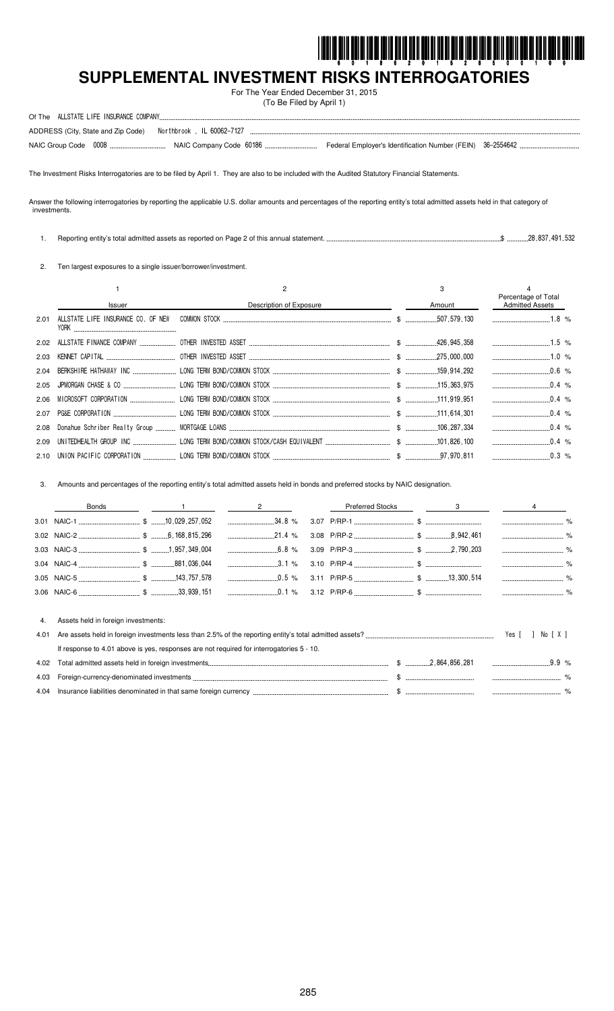

# 

For The Year Ended December 31, 2015 (To Be Filed by April 1)

| ALLSTATE LIFE INSURANCE COMPANY.<br>Of The                       |                                                            |  |
|------------------------------------------------------------------|------------------------------------------------------------|--|
| Northbrook , IL 60062-7127<br>ADDRESS (City, State and Zip Code) |                                                            |  |
| NAIC Group Code 0008                                             | Federal Employer's Identification Number (FEIN) 36-2554642 |  |

The Investment Risks Interrogatories are to be filed by April 1. They are also to be included with the Audited Statutory Financial Statements.

Answer the following interrogatories by reporting the applicable U.S. dollar amounts and percentages of the reporting entity's total admitted assets held in that category of investments.

 $$$ ..............28,837,491,532 1. Reporting entity's total admitted assets as reported on Page 2 of this annual statement...

2. Ten largest exposures to a single issuer/borrower/investment.

|      |                          |                         | 3      | Percentage of Total    |  |
|------|--------------------------|-------------------------|--------|------------------------|--|
|      | Issuer                   | Description of Exposure | Amount | <b>Admitted Assets</b> |  |
| 2.01 | <b>YORK Example 2008</b> |                         |        | $1.8 \%$               |  |
|      |                          |                         |        | $1.5 \%$               |  |
|      |                          |                         |        | $1.0\%$                |  |
|      |                          |                         |        | $0.6\%$                |  |
|      |                          |                         |        | $0.4\%$                |  |
|      |                          |                         |        | $0.4\%$                |  |
|      |                          |                         |        |                        |  |
|      |                          |                         |        |                        |  |
|      |                          |                         |        | $0.4\%$                |  |
|      |                          |                         |        |                        |  |

3. Amounts and percentages of the reporting entity's total admitted assets held in bonds and preferred stocks by NAIC designation.

|      | Bonds                                                                                    | $\overline{2}$  | <b>Preferred Stocks</b> |  |                                   |  |
|------|------------------------------------------------------------------------------------------|-----------------|-------------------------|--|-----------------------------------|--|
|      |                                                                                          |                 |                         |  |                                   |  |
|      |                                                                                          | $\ldots$ 21.4 % |                         |  |                                   |  |
|      |                                                                                          | $6.8\%$         |                         |  |                                   |  |
|      |                                                                                          |                 |                         |  | --------------------------------- |  |
|      |                                                                                          |                 |                         |  |                                   |  |
|      |                                                                                          |                 |                         |  |                                   |  |
|      |                                                                                          |                 |                         |  |                                   |  |
| 4.   | Assets held in foreign investments:                                                      |                 |                         |  |                                   |  |
| 4.01 |                                                                                          |                 |                         |  | Yes [<br>NolXI                    |  |
|      | If response to 4.01 above is yes, responses are not required for interrogatories 5 - 10. |                 |                         |  |                                   |  |
| 4.02 |                                                                                          |                 |                         |  | $9.9\%$                           |  |
|      |                                                                                          |                 |                         |  |                                   |  |

| 9.UJ             | 1111 GI 113                                   | ----------------------------- |  |
|------------------|-----------------------------------------------|-------------------------------|--|
| 4.0 <sup>2</sup> | nei<br>00nc<br>tea in<br>Π۴<br>חר<br>currency |                               |  |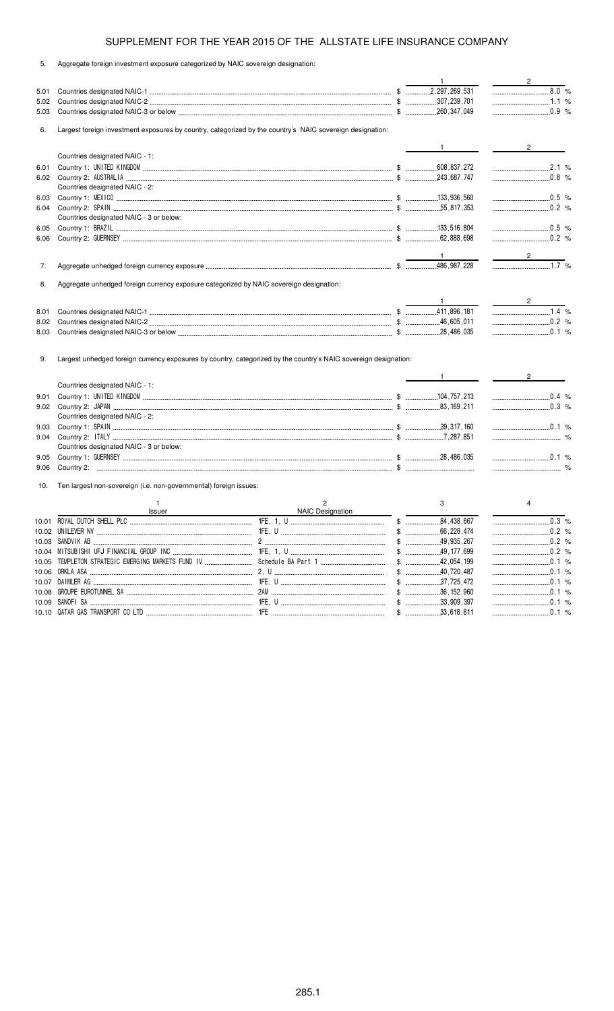|  |  |  |  |  | Aggregate foreign investment exposure categorized by NAIC sovereign designation: |  |  |  |
|--|--|--|--|--|----------------------------------------------------------------------------------|--|--|--|
|--|--|--|--|--|----------------------------------------------------------------------------------|--|--|--|

|       |                                                                                                                  |              | $\mathbf{1}$                                                                                                                                                                                                                                                                                                                                                                                                                    | $\overline{\phantom{a}2\phantom{a}}$ |
|-------|------------------------------------------------------------------------------------------------------------------|--------------|---------------------------------------------------------------------------------------------------------------------------------------------------------------------------------------------------------------------------------------------------------------------------------------------------------------------------------------------------------------------------------------------------------------------------------|--------------------------------------|
| 5.01  |                                                                                                                  |              |                                                                                                                                                                                                                                                                                                                                                                                                                                 | 8.0 %                                |
| 5.02  |                                                                                                                  |              |                                                                                                                                                                                                                                                                                                                                                                                                                                 | $1.1\%$                              |
| 5.03  |                                                                                                                  |              |                                                                                                                                                                                                                                                                                                                                                                                                                                 | $0.9\%$                              |
| 6.    | Largest foreign investment exposures by country, categorized by the country's NAIC sovereign designation:        |              |                                                                                                                                                                                                                                                                                                                                                                                                                                 |                                      |
|       |                                                                                                                  |              | $\frac{1}{\sqrt{1-\frac{1}{2}}}\frac{1}{\sqrt{1-\frac{1}{2}}}\frac{1}{\sqrt{1-\frac{1}{2}}}\frac{1}{\sqrt{1-\frac{1}{2}}}\frac{1}{\sqrt{1-\frac{1}{2}}}\frac{1}{\sqrt{1-\frac{1}{2}}}\frac{1}{\sqrt{1-\frac{1}{2}}}\frac{1}{\sqrt{1-\frac{1}{2}}}\frac{1}{\sqrt{1-\frac{1}{2}}}\frac{1}{\sqrt{1-\frac{1}{2}}}\frac{1}{\sqrt{1-\frac{1}{2}}}\frac{1}{\sqrt{1-\frac{1}{2}}}\frac{1}{\sqrt{1-\frac{1}{2}}}\frac{1}{\sqrt{1-\frac{$ | $2 \left( \frac{1}{2} \right)$       |
|       | Countries designated NAIC - 1:                                                                                   |              |                                                                                                                                                                                                                                                                                                                                                                                                                                 |                                      |
| 6.01  |                                                                                                                  |              |                                                                                                                                                                                                                                                                                                                                                                                                                                 | $\ldots$ 2.1 %                       |
| 6.02  |                                                                                                                  |              |                                                                                                                                                                                                                                                                                                                                                                                                                                 | $\ldots$ 0.8 %                       |
|       | Countries designated NAIC - 2:                                                                                   |              |                                                                                                                                                                                                                                                                                                                                                                                                                                 |                                      |
| 6.03  |                                                                                                                  |              |                                                                                                                                                                                                                                                                                                                                                                                                                                 |                                      |
| 6.04  |                                                                                                                  |              |                                                                                                                                                                                                                                                                                                                                                                                                                                 |                                      |
|       | Countries designated NAIC - 3 or below:                                                                          |              |                                                                                                                                                                                                                                                                                                                                                                                                                                 |                                      |
| 6.05  |                                                                                                                  |              |                                                                                                                                                                                                                                                                                                                                                                                                                                 |                                      |
| 6.06  |                                                                                                                  |              |                                                                                                                                                                                                                                                                                                                                                                                                                                 |                                      |
|       |                                                                                                                  |              | $\blacksquare$                                                                                                                                                                                                                                                                                                                                                                                                                  | $\frac{2}{\sqrt{2}}$                 |
| 7.    |                                                                                                                  |              |                                                                                                                                                                                                                                                                                                                                                                                                                                 | $\frac{1}{2}$ $\frac{1}{2}$ %        |
|       |                                                                                                                  |              |                                                                                                                                                                                                                                                                                                                                                                                                                                 |                                      |
| 8.    | Aggregate unhedged foreign currency exposure categorized by NAIC sovereign designation:                          |              |                                                                                                                                                                                                                                                                                                                                                                                                                                 |                                      |
|       |                                                                                                                  |              | $1 \quad \underline{\qquad}$                                                                                                                                                                                                                                                                                                                                                                                                    | $2 \left( \frac{1}{2} \right)$       |
| 8.01  |                                                                                                                  |              |                                                                                                                                                                                                                                                                                                                                                                                                                                 |                                      |
| 8.02  |                                                                                                                  |              |                                                                                                                                                                                                                                                                                                                                                                                                                                 |                                      |
| 8.03  |                                                                                                                  |              |                                                                                                                                                                                                                                                                                                                                                                                                                                 | $\ldots$ 0.1 %                       |
| 9.    | Largest unhedged foreign currency exposures by country, categorized by the country's NAIC sovereign designation: |              | $1 \qquad \qquad$                                                                                                                                                                                                                                                                                                                                                                                                               | $\frac{1}{2}$ 2                      |
|       | Countries designated NAIC - 1:                                                                                   |              |                                                                                                                                                                                                                                                                                                                                                                                                                                 |                                      |
| 9.01  |                                                                                                                  |              |                                                                                                                                                                                                                                                                                                                                                                                                                                 |                                      |
| 9.02  |                                                                                                                  |              |                                                                                                                                                                                                                                                                                                                                                                                                                                 | $\frac{1}{2}$ 0.3 %                  |
|       | Countries designated NAIC - 2:                                                                                   |              |                                                                                                                                                                                                                                                                                                                                                                                                                                 |                                      |
| 9.03  |                                                                                                                  |              |                                                                                                                                                                                                                                                                                                                                                                                                                                 |                                      |
| 9.04  |                                                                                                                  |              |                                                                                                                                                                                                                                                                                                                                                                                                                                 |                                      |
|       | Countries designated NAIC - 3 or below:                                                                          |              |                                                                                                                                                                                                                                                                                                                                                                                                                                 |                                      |
| 9.05  |                                                                                                                  |              |                                                                                                                                                                                                                                                                                                                                                                                                                                 |                                      |
| 9.06  |                                                                                                                  |              |                                                                                                                                                                                                                                                                                                                                                                                                                                 |                                      |
| 10.   | Ten largest non-sovereign (i.e. non-governmental) foreign issues:                                                |              |                                                                                                                                                                                                                                                                                                                                                                                                                                 |                                      |
|       | $\mathbf{1}$                                                                                                     | $\mathbf{2}$ | 3                                                                                                                                                                                                                                                                                                                                                                                                                               | $\overline{4}$                       |
|       |                                                                                                                  |              |                                                                                                                                                                                                                                                                                                                                                                                                                                 |                                      |
|       |                                                                                                                  |              |                                                                                                                                                                                                                                                                                                                                                                                                                                 |                                      |
|       |                                                                                                                  |              |                                                                                                                                                                                                                                                                                                                                                                                                                                 | .0.2%                                |
|       |                                                                                                                  |              |                                                                                                                                                                                                                                                                                                                                                                                                                                 | $0.2$ %                              |
|       |                                                                                                                  |              |                                                                                                                                                                                                                                                                                                                                                                                                                                 |                                      |
|       |                                                                                                                  |              |                                                                                                                                                                                                                                                                                                                                                                                                                                 |                                      |
|       |                                                                                                                  |              |                                                                                                                                                                                                                                                                                                                                                                                                                                 | .0.1%                                |
|       |                                                                                                                  |              |                                                                                                                                                                                                                                                                                                                                                                                                                                 | $0.1\%$                              |
|       |                                                                                                                  |              |                                                                                                                                                                                                                                                                                                                                                                                                                                 |                                      |
|       |                                                                                                                  |              |                                                                                                                                                                                                                                                                                                                                                                                                                                 | $\ldots$ 0.1 %                       |
| 10.09 | SANOFISA                                                                                                         |              | $$$ 33,909,397<br>$$$ 33,618,811                                                                                                                                                                                                                                                                                                                                                                                                | .0.1%                                |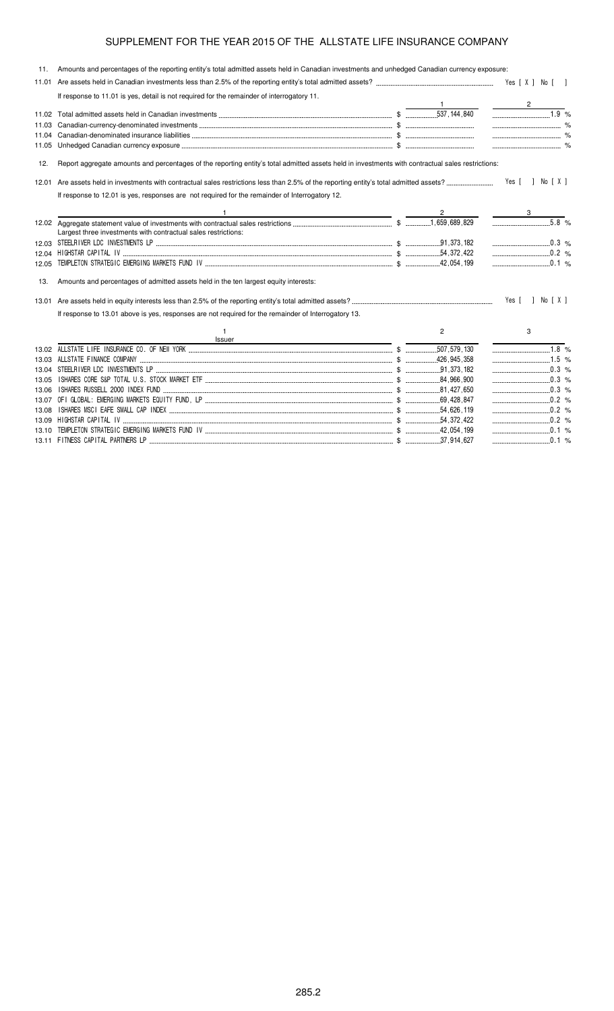11. Amounts and percentages of the reporting entity's total admitted assets held in Canadian investments and unhedged Canadian currency exposure:

|       | If response to 11.01 is yes, detail is not required for the remainder of interrogatory 11.                                                        |                |                                         |
|-------|---------------------------------------------------------------------------------------------------------------------------------------------------|----------------|-----------------------------------------|
|       |                                                                                                                                                   |                |                                         |
|       |                                                                                                                                                   |                | $\begin{array}{c c} \hline \end{array}$ |
| 11.03 |                                                                                                                                                   |                |                                         |
| 11.04 |                                                                                                                                                   |                |                                         |
| 11.05 |                                                                                                                                                   |                | $\sim$ $\sim$ $\sim$ $\sim$             |
| 12.   | Report aggregate amounts and percentages of the reporting entity's total admitted assets held in investments with contractual sales restrictions: |                |                                         |
|       |                                                                                                                                                   |                | Yes [ ] No [ X ]                        |
|       | If response to 12.01 is yes, responses are not required for the remainder of Interrogatory 12.                                                    |                |                                         |
|       | the contract of the contract of the contract of the contract of the contract of                                                                   |                |                                         |
|       |                                                                                                                                                   |                |                                         |
|       | Largest three investments with contractual sales restrictions:                                                                                    |                |                                         |
|       |                                                                                                                                                   |                | $\ldots$ 0.3 %                          |
| 12.04 |                                                                                                                                                   |                |                                         |
| 12.05 |                                                                                                                                                   |                | $\ldots$ 0.1 %                          |
| 13.   | Amounts and percentages of admitted assets held in the ten largest equity interests:                                                              |                |                                         |
|       |                                                                                                                                                   |                | Yes [ ] No [ X ]                        |
|       | If response to 13.01 above is yes, responses are not required for the remainder of Interrogatory 13.                                              |                |                                         |
|       | $\mathbf{1}$<br>Issuer<br><u> 1989 - John Stein, mars and de Brazilian (b. 1989)</u>                                                              | $\overline{2}$ | 3                                       |
|       |                                                                                                                                                   |                | $1.8\%$                                 |
| 13.03 |                                                                                                                                                   |                | $\ldots$ 1.5 %                          |
| 13.04 |                                                                                                                                                   |                | $\ldots$ 0.3 %                          |
| 13.05 |                                                                                                                                                   |                | $0.3\%$                                 |
| 13.06 |                                                                                                                                                   |                |                                         |
|       |                                                                                                                                                   |                | $\ldots$ 0.2 %                          |
| 13.08 |                                                                                                                                                   |                | $\ldots$ 0.2 %                          |
|       |                                                                                                                                                   |                |                                         |
| 13 10 |                                                                                                                                                   |                | $\ldots$ 0.1 %                          |
|       |                                                                                                                                                   |                |                                         |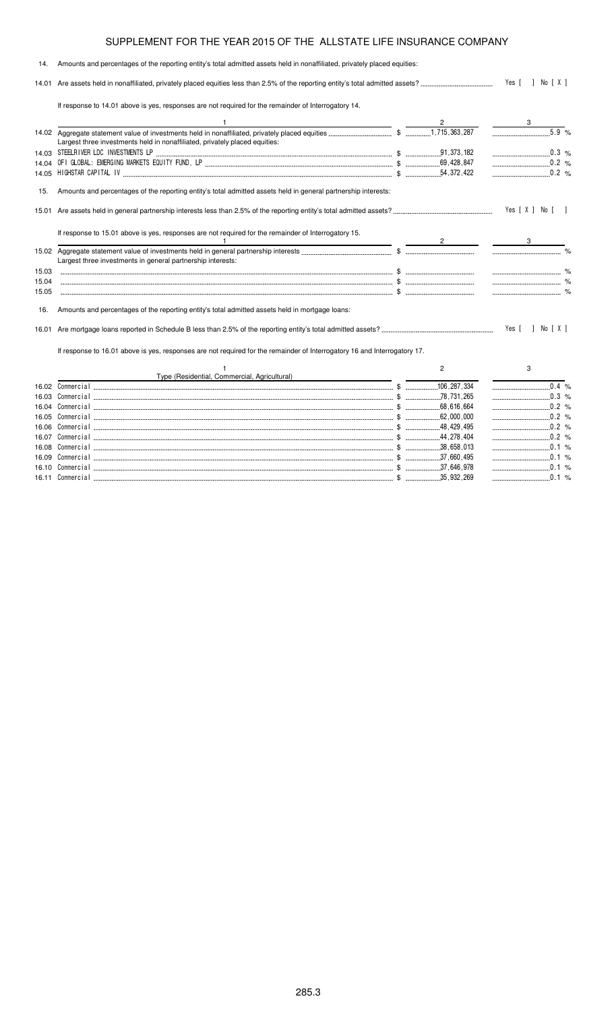### 14. Amounts and percentages of the reporting entity's total admitted assets held in nonaffiliated, privately placed equities: 14.01 Are assets held in nonaffiliated, privately placed equities less than 2.5% of the reporting entity's total admitted assets? -Yes [ ] No [ X ] If response to 14.01 above is yes, responses are not required for the remainder of Interrogatory 14. 1  $\overline{2}$  3 14.02 Aggregate statement value of investments held in nonaffiliated, privately placed equities \$   % Largest three investments held in nonaffiliated, privately placed equities: 14.03 \$  $.0.3%$ 14.04 ! " #\$% "" \$& '( !( \$ )) % 14.05 \*"\*\$ \$\$ \$ )) % 15. Amounts and percentages of the reporting entity's total admitted assets held in general partnership interests: 15.01 Are assets held in general partnership interests less than 2.5% of the reporting entity's total admitted assets? -Yes [ X ] No [ ] If response to 15.01 above is yes, responses are not required for the remainder of Interrogatory 15. 1  $\overline{2}$  3 15.02 Aggregate statement value of investments held in general partnership interests \$ % Largest three investments in general partnership interests: 15.03 \$ % 15.04 \$ % 15.05 \$ % 16. Amounts and percentages of the reporting entity's total admitted assets held in mortgage loans: 16.01 Are mortgage loans reported in Schedule B less than 2.5% of the reporting entity's total admitted assets? - $\ldots$  Yes [ ] No [ X ] If response to 16.01 above is yes, responses are not required for the remainder of Interrogatory 16 and Interrogatory 17. 1 Type (Residential, Commercial, Agricultural) 2 3  $16.02$  Commercial ... ,-./0 \$ ) ) % 16.03 Commercial ,-./0 \$  78 731 265 0 3 % 16.04 Commercial ,-./0 \$ ) % 16.05 Commercial ,-./0 \$ % 16.06 Commercial ,-./0 \$ ))) % 16.07 Commercial

,-./0 \$ )))) %

,-./0 \$ )

,-./0 \$ )

,-./0 \$

%

 $.0.1%$ 

 $0.1 %$ 

 $0.1%$ 

,-./0 \$

16.08 Commercial

16.09 Commercial

16.10 Commercial

16.11 Commercial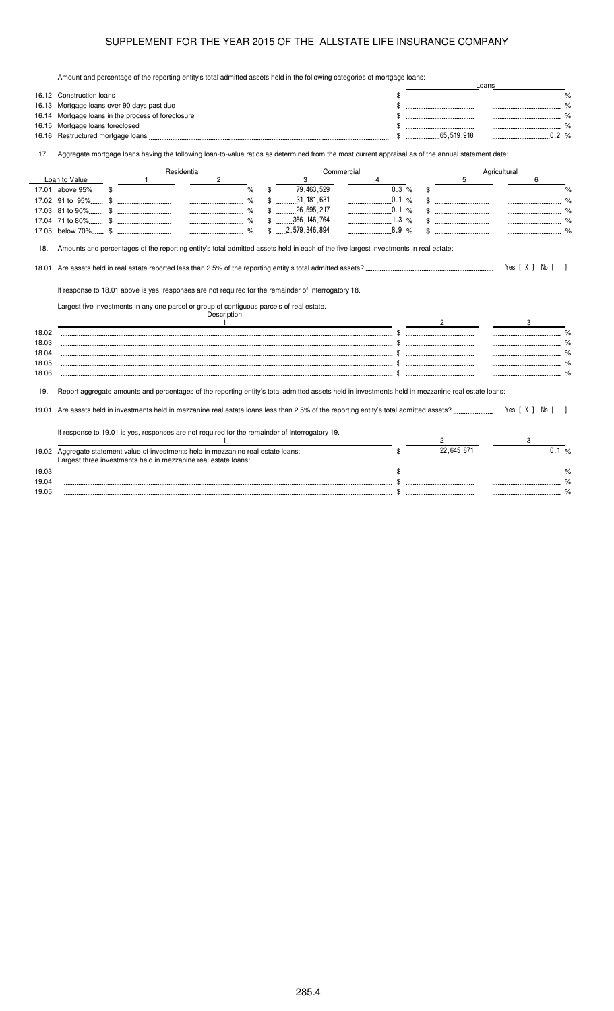Amount and percentage of the reporting entity's total admitted assets held in the following categories of mortgage loans:

|       | Amount and percentage of the reporting entity's total admitted assets held in the following categories of mongage idahs.                                                                                                                                                                                     |                                    |                                              | Loans                              |
|-------|--------------------------------------------------------------------------------------------------------------------------------------------------------------------------------------------------------------------------------------------------------------------------------------------------------------|------------------------------------|----------------------------------------------|------------------------------------|
|       |                                                                                                                                                                                                                                                                                                              |                                    |                                              |                                    |
| 16.13 |                                                                                                                                                                                                                                                                                                              |                                    |                                              |                                    |
| 16.14 |                                                                                                                                                                                                                                                                                                              |                                    |                                              |                                    |
| 16.15 |                                                                                                                                                                                                                                                                                                              |                                    |                                              |                                    |
| 16.16 |                                                                                                                                                                                                                                                                                                              |                                    |                                              | $0.2\%$                            |
| 17.   | Aggregate mortgage loans having the following loan-to-value ratios as determined from the most current appraisal as of the annual statement date:                                                                                                                                                            |                                    |                                              |                                    |
|       | Residential                                                                                                                                                                                                                                                                                                  | Commercial                         |                                              | Agricultural                       |
|       | Loan to Value<br>$2^{\circ}$<br>$\frac{1}{2}$                                                                                                                                                                                                                                                                | 3                                  | 5                                            | 6                                  |
|       |                                                                                                                                                                                                                                                                                                              | 0.3 %                              |                                              |                                    |
|       |                                                                                                                                                                                                                                                                                                              | 0.1 %<br>$$$ 31, 181, 631          | $\mathcal{R}$                                | $\sim$ $\sim$ $\sim$ $\sim$ $\sim$ |
|       |                                                                                                                                                                                                                                                                                                              | $$$ 26,595,217<br>0.1 %            |                                              |                                    |
|       |                                                                                                                                                                                                                                                                                                              | 1.3 %<br>$$$ 366, 146, 764         |                                              |                                    |
|       |                                                                                                                                                                                                                                                                                                              | $8.9\%$<br>$$ \dots 2,579,346,894$ | $\mathbb{S}$ . The continuum of $\mathbb{S}$ |                                    |
|       |                                                                                                                                                                                                                                                                                                              |                                    |                                              |                                    |
| 18.   | Amounts and percentages of the reporting entity's total admitted assets held in each of the five largest investments in real estate:                                                                                                                                                                         |                                    |                                              |                                    |
| 18.01 |                                                                                                                                                                                                                                                                                                              |                                    |                                              | Yes [ X ] No [ ]                   |
|       |                                                                                                                                                                                                                                                                                                              |                                    |                                              |                                    |
|       | If response to 18.01 above is yes, responses are not required for the remainder of Interrogatory 18.                                                                                                                                                                                                         |                                    |                                              |                                    |
|       |                                                                                                                                                                                                                                                                                                              |                                    |                                              |                                    |
|       | Largest five investments in any one parcel or group of contiguous parcels of real estate.                                                                                                                                                                                                                    |                                    |                                              |                                    |
|       | Description<br>$\frac{1}{2}$ and $\frac{1}{2}$ and $\frac{1}{2}$ and $\frac{1}{2}$ and $\frac{1}{2}$ and $\frac{1}{2}$ and $\frac{1}{2}$ and $\frac{1}{2}$ and $\frac{1}{2}$ and $\frac{1}{2}$ and $\frac{1}{2}$ and $\frac{1}{2}$ and $\frac{1}{2}$ and $\frac{1}{2}$ and $\frac{1}{2}$ and $\frac{1}{2}$ a |                                    | $\mathbf{2}$                                 | 3                                  |
| 18.02 |                                                                                                                                                                                                                                                                                                              |                                    |                                              | $\frac{1}{2}$                      |
| 18.03 |                                                                                                                                                                                                                                                                                                              |                                    |                                              | $\sim$ $\%$                        |
| 18.04 |                                                                                                                                                                                                                                                                                                              |                                    |                                              |                                    |
| 18.05 |                                                                                                                                                                                                                                                                                                              |                                    |                                              |                                    |
| 18.06 |                                                                                                                                                                                                                                                                                                              |                                    |                                              |                                    |
|       |                                                                                                                                                                                                                                                                                                              |                                    |                                              |                                    |
| 19.   | Report aggregate amounts and percentages of the reporting entity's total admitted assets held in investments held in mezzanine real estate loans:                                                                                                                                                            |                                    |                                              |                                    |
|       |                                                                                                                                                                                                                                                                                                              |                                    |                                              |                                    |
| 19.01 |                                                                                                                                                                                                                                                                                                              |                                    |                                              | Yes [X ] No [ ]                    |
|       |                                                                                                                                                                                                                                                                                                              |                                    |                                              |                                    |
|       | If response to 19.01 is yes, responses are not required for the remainder of Interrogatory 19.                                                                                                                                                                                                               |                                    |                                              |                                    |
|       |                                                                                                                                                                                                                                                                                                              |                                    |                                              |                                    |
|       |                                                                                                                                                                                                                                                                                                              |                                    |                                              | 0.1 %                              |
|       | Largest three investments held in mezzanine real estate loans:                                                                                                                                                                                                                                               |                                    |                                              |                                    |
| 19.03 |                                                                                                                                                                                                                                                                                                              |                                    |                                              |                                    |
| 19.04 | $\mathbf{s}$                                                                                                                                                                                                                                                                                                 |                                    |                                              |                                    |
| 19.05 |                                                                                                                                                                                                                                                                                                              |                                    |                                              |                                    |